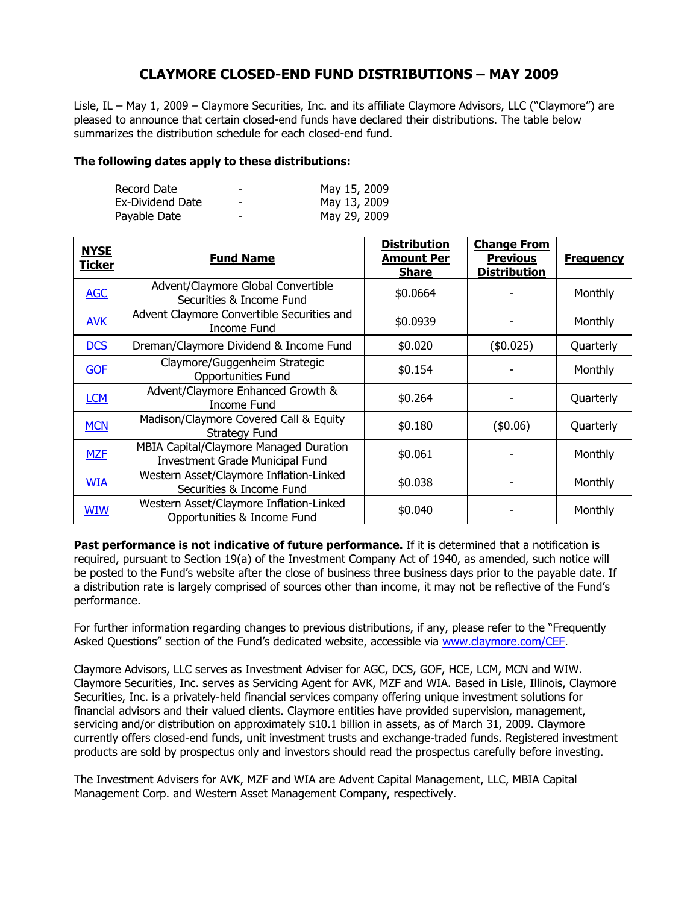## **CLAYMORE CLOSED-END FUND DISTRIBUTIONS – MAY 2009**

Lisle, IL – May 1, 2009 – Claymore Securities, Inc. and its affiliate Claymore Advisors, LLC ("Claymore") are pleased to announce that certain closed-end funds have declared their distributions. The table below summarizes the distribution schedule for each closed-end fund.

## **The following dates apply to these distributions:**

| Record Date      | - | May 15, 2009 |
|------------------|---|--------------|
| Ex-Dividend Date | ٠ | May 13, 2009 |
| Payable Date     | - | May 29, 2009 |

| <b>NYSE</b><br><b>Ticker</b> | <b>Fund Name</b>                                                                        | <b>Distribution</b><br><b>Amount Per</b><br><b>Share</b> | <b>Change From</b><br><b>Previous</b><br><b>Distribution</b> | <b>Frequency</b> |
|------------------------------|-----------------------------------------------------------------------------------------|----------------------------------------------------------|--------------------------------------------------------------|------------------|
| <b>AGC</b>                   | Advent/Claymore Global Convertible<br>Securities & Income Fund                          | \$0.0664                                                 |                                                              | Monthly          |
| <b>AVK</b>                   | Advent Claymore Convertible Securities and<br>Income Fund                               | \$0.0939                                                 |                                                              | Monthly          |
| <b>DCS</b>                   | Dreman/Claymore Dividend & Income Fund                                                  | \$0.020                                                  | (\$0.025)                                                    | Quarterly        |
| <b>GOF</b>                   | Claymore/Guggenheim Strategic<br><b>Opportunities Fund</b>                              | \$0.154                                                  |                                                              | Monthly          |
| <b>LCM</b>                   | Advent/Claymore Enhanced Growth &<br>Income Fund                                        | \$0.264                                                  |                                                              | Quarterly        |
| <b>MCN</b>                   | Madison/Claymore Covered Call & Equity<br><b>Strategy Fund</b>                          | \$0.180                                                  | (\$0.06)                                                     | Quarterly        |
| <b>MZF</b>                   | <b>MBIA Capital/Claymore Managed Duration</b><br><b>Investment Grade Municipal Fund</b> | \$0.061                                                  |                                                              | Monthly          |
| <b>WIA</b>                   | Western Asset/Claymore Inflation-Linked<br>Securities & Income Fund                     | \$0.038                                                  |                                                              | Monthly          |
| <b>WIW</b>                   | Western Asset/Claymore Inflation-Linked<br>Opportunities & Income Fund                  | \$0.040                                                  |                                                              | Monthly          |

**Past performance is not indicative of future performance.** If it is determined that a notification is required, pursuant to Section 19(a) of the Investment Company Act of 1940, as amended, such notice will be posted to the Fund's website after the close of business three business days prior to the payable date. If a distribution rate is largely comprised of sources other than income, it may not be reflective of the Fund's performance.

For further information regarding changes to previous distributions, if any, please refer to the "Frequently Asked Questions" section of the Fund's dedicated website, accessible via www.claymore.com/CEF.

Claymore Advisors, LLC serves as Investment Adviser for AGC, DCS, GOF, HCE, LCM, MCN and WIW. Claymore Securities, Inc. serves as Servicing Agent for AVK, MZF and WIA. Based in Lisle, Illinois, Claymore Securities, Inc. is a privately-held financial services company offering unique investment solutions for financial advisors and their valued clients. Claymore entities have provided supervision, management, servicing and/or distribution on approximately \$10.1 billion in assets, as of March 31, 2009. Claymore currently offers closed-end funds, unit investment trusts and exchange-traded funds. Registered investment products are sold by prospectus only and investors should read the prospectus carefully before investing.

The Investment Advisers for AVK, MZF and WIA are Advent Capital Management, LLC, MBIA Capital Management Corp. and Western Asset Management Company, respectively.